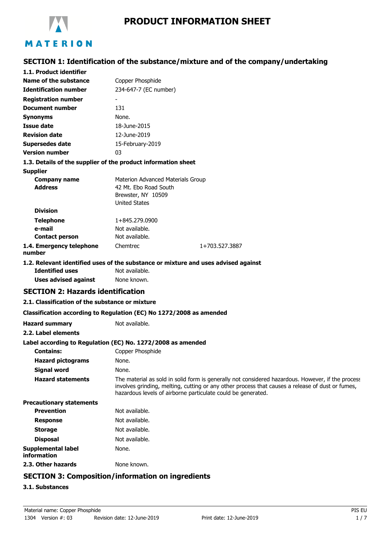

# **SECTION 1: Identification of the substance/mixture and of the company/undertaking**

| 1.1. Product identifier                                             |                                                                                                          |                                                                                                                                                                                                                                                                       |
|---------------------------------------------------------------------|----------------------------------------------------------------------------------------------------------|-----------------------------------------------------------------------------------------------------------------------------------------------------------------------------------------------------------------------------------------------------------------------|
| <b>Name of the substance</b>                                        | Copper Phosphide                                                                                         |                                                                                                                                                                                                                                                                       |
| <b>Identification number</b>                                        | 234-647-7 (EC number)                                                                                    |                                                                                                                                                                                                                                                                       |
| <b>Registration number</b>                                          |                                                                                                          |                                                                                                                                                                                                                                                                       |
| <b>Document number</b>                                              | 131                                                                                                      |                                                                                                                                                                                                                                                                       |
| <b>Synonyms</b>                                                     | None.                                                                                                    |                                                                                                                                                                                                                                                                       |
| <b>Issue date</b>                                                   | 18-June-2015                                                                                             |                                                                                                                                                                                                                                                                       |
| <b>Revision date</b>                                                | 12-June-2019                                                                                             |                                                                                                                                                                                                                                                                       |
| <b>Supersedes date</b>                                              | 15-February-2019                                                                                         |                                                                                                                                                                                                                                                                       |
| <b>Version number</b>                                               | 03                                                                                                       |                                                                                                                                                                                                                                                                       |
| 1.3. Details of the supplier of the product information sheet       |                                                                                                          |                                                                                                                                                                                                                                                                       |
| <b>Supplier</b>                                                     |                                                                                                          |                                                                                                                                                                                                                                                                       |
| <b>Company name</b><br><b>Address</b>                               | Materion Advanced Materials Group<br>42 Mt. Ebo Road South<br>Brewster, NY 10509<br><b>United States</b> |                                                                                                                                                                                                                                                                       |
| <b>Division</b>                                                     |                                                                                                          |                                                                                                                                                                                                                                                                       |
| <b>Telephone</b>                                                    | 1+845.279.0900                                                                                           |                                                                                                                                                                                                                                                                       |
| e-mail                                                              | Not available.                                                                                           |                                                                                                                                                                                                                                                                       |
| <b>Contact person</b>                                               | Not available.                                                                                           |                                                                                                                                                                                                                                                                       |
| 1.4. Emergency telephone<br>number                                  | Chemtrec                                                                                                 | 1+703.527.3887                                                                                                                                                                                                                                                        |
|                                                                     |                                                                                                          | 1.2. Relevant identified uses of the substance or mixture and uses advised against                                                                                                                                                                                    |
| <b>Identified uses</b>                                              | Not available.                                                                                           |                                                                                                                                                                                                                                                                       |
| <b>Uses advised against</b>                                         | None known.                                                                                              |                                                                                                                                                                                                                                                                       |
| <b>SECTION 2: Hazards identification</b>                            |                                                                                                          |                                                                                                                                                                                                                                                                       |
| 2.1. Classification of the substance or mixture                     |                                                                                                          |                                                                                                                                                                                                                                                                       |
| Classification according to Regulation (EC) No 1272/2008 as amended |                                                                                                          |                                                                                                                                                                                                                                                                       |
| <b>Hazard summary</b>                                               | Not available.                                                                                           |                                                                                                                                                                                                                                                                       |
| 2.2. Label elements                                                 |                                                                                                          |                                                                                                                                                                                                                                                                       |
| Label according to Regulation (EC) No. 1272/2008 as amended         |                                                                                                          |                                                                                                                                                                                                                                                                       |
| <b>Contains:</b>                                                    | Copper Phosphide                                                                                         |                                                                                                                                                                                                                                                                       |
| <b>Hazard pictograms</b>                                            | None.                                                                                                    |                                                                                                                                                                                                                                                                       |
| <b>Signal word</b>                                                  | None.                                                                                                    |                                                                                                                                                                                                                                                                       |
| <b>Hazard statements</b>                                            |                                                                                                          | The material as sold in solid form is generally not considered hazardous. However, if the process<br>involves grinding, melting, cutting or any other process that causes a release of dust or fumes,<br>hazardous levels of airborne particulate could be generated. |
| <b>Precautionary statements</b>                                     |                                                                                                          |                                                                                                                                                                                                                                                                       |
| <b>Prevention</b>                                                   | Not available.                                                                                           |                                                                                                                                                                                                                                                                       |
| <b>Response</b>                                                     | Not available.                                                                                           |                                                                                                                                                                                                                                                                       |
| <b>Storage</b>                                                      | Not available.                                                                                           |                                                                                                                                                                                                                                                                       |
| <b>Disposal</b>                                                     | Not available.                                                                                           |                                                                                                                                                                                                                                                                       |
| <b>Supplemental label</b><br>information                            | None.                                                                                                    |                                                                                                                                                                                                                                                                       |
| 2.3. Other hazards                                                  | None known.                                                                                              |                                                                                                                                                                                                                                                                       |
|                                                                     |                                                                                                          |                                                                                                                                                                                                                                                                       |

# **SECTION 3: Composition/information on ingredients**

## **3.1. Substances**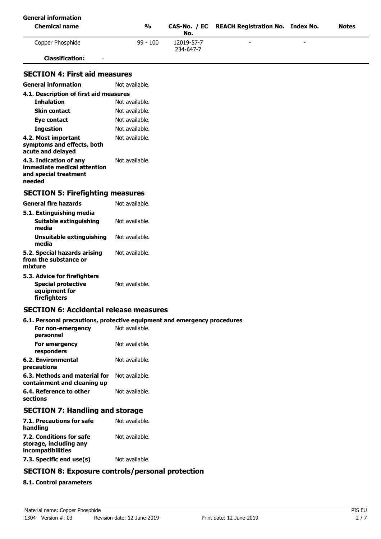| <b>General information</b>                                                                 |                |                         |                                         |  |              |
|--------------------------------------------------------------------------------------------|----------------|-------------------------|-----------------------------------------|--|--------------|
| <b>Chemical name</b>                                                                       | $\frac{1}{2}$  | CAS-No. / EC<br>No.     | <b>REACH Registration No. Index No.</b> |  | <b>Notes</b> |
| Copper Phosphide                                                                           | $99 - 100$     | 12019-57-7<br>234-647-7 |                                         |  |              |
| <b>Classification:</b>                                                                     |                |                         |                                         |  |              |
| <b>SECTION 4: First aid measures</b>                                                       |                |                         |                                         |  |              |
| <b>General information</b>                                                                 | Not available. |                         |                                         |  |              |
| 4.1. Description of first aid measures                                                     |                |                         |                                         |  |              |
| <b>Inhalation</b>                                                                          | Not available. |                         |                                         |  |              |
| <b>Skin contact</b>                                                                        | Not available. |                         |                                         |  |              |
| Eye contact                                                                                | Not available. |                         |                                         |  |              |
| <b>Ingestion</b>                                                                           | Not available. |                         |                                         |  |              |
| 4.2. Most important<br>symptoms and effects, both<br>acute and delayed                     | Not available. |                         |                                         |  |              |
| 4.3. Indication of any<br>immediate medical attention<br>and special treatment<br>needed   | Not available. |                         |                                         |  |              |
| <b>SECTION 5: Firefighting measures</b>                                                    |                |                         |                                         |  |              |
| <b>General fire hazards</b>                                                                | Not available. |                         |                                         |  |              |
| 5.1. Extinguishing media<br>Suitable extinguishing<br>media                                | Not available. |                         |                                         |  |              |
| <b>Unsuitable extinguishing</b><br>media                                                   | Not available. |                         |                                         |  |              |
| 5.2. Special hazards arising<br>from the substance or<br>mixture                           | Not available. |                         |                                         |  |              |
| 5.3. Advice for firefighters<br><b>Special protective</b><br>equipment for<br>firefighters | Not available. |                         |                                         |  |              |
| <b>SECTION 6: Accidental release measures</b>                                              |                |                         |                                         |  |              |
| 6.1. Personal precautions, protective equipment and emergency procedures                   |                |                         |                                         |  |              |
| For non-emergency<br>personnel                                                             | Not available. |                         |                                         |  |              |
| For emergency<br>responders                                                                | Not available. |                         |                                         |  |              |
| <b>6.2. Environmental</b><br>precautions                                                   | Not available. |                         |                                         |  |              |
| 6.3. Methods and material for<br>containment and cleaning up                               | Not available. |                         |                                         |  |              |

## **SECTION 7: Handling and storage**

**6.4. Reference to other** Not available.

| 7.1. Precautions for safe<br>handling                                   | Not available. |
|-------------------------------------------------------------------------|----------------|
| 7.2. Conditions for safe<br>storage, including any<br>incompatibilities | Not available. |
| 7.3. Specific end use(s)                                                | Not available. |

## **SECTION 8: Exposure controls/personal protection**

## **8.1. Control parameters**

**sections**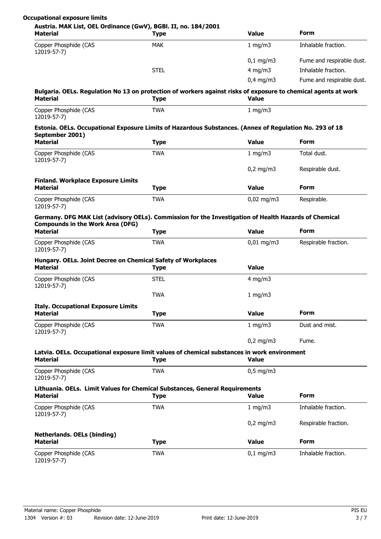| Occupational exposure limits |  |  |
|------------------------------|--|--|
|------------------------------|--|--|

|  |  | Austria. MAK List, OEL Ordinance (GwV), BGBI. II, no. 184/20 |  |
|--|--|--------------------------------------------------------------|--|

| <b>Material</b>                                                                                                                                  | <b>Type</b> | <b>Value</b>         | <b>Form</b>               |
|--------------------------------------------------------------------------------------------------------------------------------------------------|-------------|----------------------|---------------------------|
| Copper Phosphide (CAS<br>12019-57-7)                                                                                                             | <b>MAK</b>  | 1 mg/m $3$           | Inhalable fraction.       |
|                                                                                                                                                  |             | $0,1 \, \text{mg/m}$ | Fume and respirable dust. |
|                                                                                                                                                  | <b>STEL</b> | $4$ mg/m $3$         | Inhalable fraction.       |
|                                                                                                                                                  |             | $0.4$ mg/m $3$       | Fume and respirable dust. |
| Bulgaria. OELs. Regulation No 13 on protection of workers against risks of exposure to chemical agents at work<br><b>Material</b>                | <b>Type</b> | <b>Value</b>         |                           |
| Copper Phosphide (CAS<br>12019-57-7)                                                                                                             | <b>TWA</b>  | 1 mg/m $3$           |                           |
| Estonia. OELs. Occupational Exposure Limits of Hazardous Substances. (Annex of Regulation No. 293 of 18<br>September 2001)                       |             |                      |                           |
| <b>Material</b>                                                                                                                                  | <b>Type</b> | <b>Value</b>         | <b>Form</b>               |
| Copper Phosphide (CAS<br>12019-57-7)                                                                                                             | <b>TWA</b>  | 1 mg/m $3$           | Total dust.               |
|                                                                                                                                                  |             | $0,2$ mg/m3          | Respirable dust.          |
| <b>Finland. Workplace Exposure Limits</b>                                                                                                        |             |                      |                           |
| <b>Material</b>                                                                                                                                  | <b>Type</b> | <b>Value</b>         | <b>Form</b>               |
| Copper Phosphide (CAS<br>12019-57-7)                                                                                                             | <b>TWA</b>  | $0,02$ mg/m3         | Respirable.               |
| Germany. DFG MAK List (advisory OELs). Commission for the Investigation of Health Hazards of Chemical<br><b>Compounds in the Work Area (DFG)</b> |             |                      |                           |
| <b>Material</b>                                                                                                                                  | <b>Type</b> | <b>Value</b>         | <b>Form</b>               |
| Copper Phosphide (CAS<br>12019-57-7)                                                                                                             | <b>TWA</b>  | $0,01$ mg/m3         | Respirable fraction.      |
| Hungary. OELs. Joint Decree on Chemical Safety of Workplaces<br><b>Material</b>                                                                  | <b>Type</b> | <b>Value</b>         |                           |
| Copper Phosphide (CAS<br>12019-57-7)                                                                                                             | <b>STEL</b> | $4$ mg/m $3$         |                           |
|                                                                                                                                                  | <b>TWA</b>  | 1 mg/m3              |                           |
| <b>Italy. Occupational Exposure Limits</b>                                                                                                       |             |                      |                           |
| Material                                                                                                                                         | Type        | Value                | Form                      |
| Copper Phosphide (CAS<br>12019-57-7)                                                                                                             | <b>TWA</b>  | 1 mg/m3              | Dust and mist.            |
|                                                                                                                                                  |             | $0,2$ mg/m3          | Fume.                     |
| Latvia. OELs. Occupational exposure limit values of chemical substances in work environment<br><b>Material</b>                                   | <b>Type</b> | Value                |                           |
| Copper Phosphide (CAS<br>12019-57-7)                                                                                                             | <b>TWA</b>  | $0,5$ mg/m3          |                           |
| Lithuania. OELs. Limit Values for Chemical Substances, General Requirements                                                                      |             |                      |                           |
| <b>Material</b>                                                                                                                                  | <b>Type</b> | <b>Value</b>         | Form                      |
| Copper Phosphide (CAS<br>12019-57-7)                                                                                                             | <b>TWA</b>  | 1 mg/m $3$           | Inhalable fraction.       |
|                                                                                                                                                  |             | $0,2$ mg/m3          | Respirable fraction.      |
| <b>Netherlands. OELs (binding)</b>                                                                                                               |             |                      |                           |
| <b>Material</b>                                                                                                                                  | <b>Type</b> | <b>Value</b>         | Form                      |
| Copper Phosphide (CAS<br>12019-57-7)                                                                                                             | <b>TWA</b>  | $0,1$ mg/m3          | Inhalable fraction.       |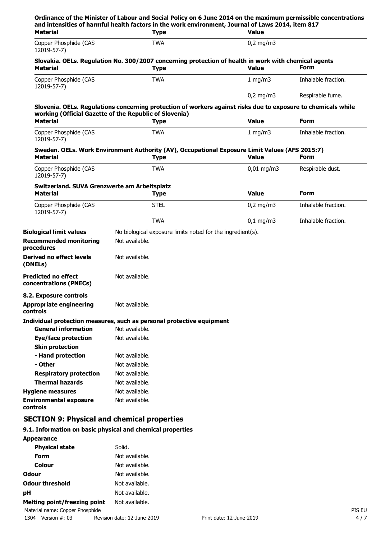| and intensities of harmful health factors in the work environment, Journal of Laws 2014, item 817<br><b>Material</b>    | <b>Type</b>                                                | <b>Value</b>          |                     |
|-------------------------------------------------------------------------------------------------------------------------|------------------------------------------------------------|-----------------------|---------------------|
| Copper Phosphide (CAS<br>12019-57-7)                                                                                    | <b>TWA</b>                                                 | $0,2$ mg/m3           |                     |
| Slovakia. OELs. Regulation No. 300/2007 concerning protection of health in work with chemical agents<br><b>Material</b> | <b>Type</b>                                                | <b>Value</b>          | Form                |
| Copper Phosphide (CAS<br>12019-57-7)                                                                                    | <b>TWA</b>                                                 | 1 mg/m $3$            | Inhalable fraction. |
|                                                                                                                         |                                                            | $0,2$ mg/m3           | Respirable fume.    |
| Slovenia. OELs. Regulations concerning protection of workers against risks due to exposure to chemicals while           |                                                            |                       |                     |
| working (Official Gazette of the Republic of Slovenia)                                                                  |                                                            |                       |                     |
| <b>Material</b>                                                                                                         | <b>Type</b>                                                | <b>Value</b>          | Form                |
| Copper Phosphide (CAS<br>12019-57-7)                                                                                    | <b>TWA</b>                                                 | 1 mg/m3               | Inhalable fraction. |
| Sweden. OELs. Work Environment Authority (AV), Occupational Exposure Limit Values (AFS 2015:7)<br><b>Material</b>       | <b>Type</b>                                                | <b>Value</b>          | Form                |
| Copper Phosphide (CAS<br>12019-57-7)                                                                                    | <b>TWA</b>                                                 | $0.01 \text{ ma/m}$ 3 | Respirable dust.    |
| Switzerland. SUVA Grenzwerte am Arbeitsplatz<br><b>Material</b>                                                         | <b>Type</b>                                                | <b>Value</b>          | Form                |
| Copper Phosphide (CAS                                                                                                   | <b>STEL</b>                                                | $0,2$ mg/m3           | Inhalable fraction. |
| 12019-57-7)                                                                                                             |                                                            |                       |                     |
|                                                                                                                         | <b>TWA</b>                                                 | $0,1$ mg/m3           | Inhalable fraction. |
| <b>Biological limit values</b>                                                                                          | No biological exposure limits noted for the ingredient(s). |                       |                     |
| <b>Recommended monitoring</b><br>procedures                                                                             | Not available.                                             |                       |                     |
| Derived no effect levels<br>(DNELs)                                                                                     | Not available.                                             |                       |                     |
| <b>Predicted no effect</b><br>concentrations (PNECs)                                                                    | Not available.                                             |                       |                     |
| 8.2. Exposure controls                                                                                                  |                                                            |                       |                     |
| <b>Appropriate engineering</b><br>controls                                                                              | Not available.                                             |                       |                     |
| Individual protection measures, such as personal protective equipment                                                   |                                                            |                       |                     |
| <b>General information</b>                                                                                              | Not available.                                             |                       |                     |
| Eye/face protection                                                                                                     | Not available.                                             |                       |                     |
| <b>Skin protection</b>                                                                                                  |                                                            |                       |                     |
| - Hand protection                                                                                                       | Not available.                                             |                       |                     |
| - Other                                                                                                                 | Not available.                                             |                       |                     |
| <b>Respiratory protection</b>                                                                                           | Not available.                                             |                       |                     |
| <b>Thermal hazards</b>                                                                                                  | Not available.                                             |                       |                     |
| <b>Hygiene measures</b>                                                                                                 | Not available.                                             |                       |                     |
| <b>Environmental exposure</b><br><b>controls</b>                                                                        | Not available.                                             |                       |                     |
| <b>SECTION 9: Physical and chemical properties</b>                                                                      |                                                            |                       |                     |
| 9.1. Information on basic physical and chemical properties                                                              |                                                            |                       |                     |
| <b>Appearance</b>                                                                                                       |                                                            |                       |                     |
| <b>Physical state</b>                                                                                                   | Solid.                                                     |                       |                     |
| <b>Form</b>                                                                                                             | Not available.                                             |                       |                     |
| <b>Colour</b>                                                                                                           | Not available.                                             |                       |                     |
| Odour                                                                                                                   | Not available.                                             |                       |                     |
| <b>Odour threshold</b>                                                                                                  | Not available.                                             |                       |                     |

**Melting point/freezing point** Not available. Material name: Copper Phosphide PIS EU

**pH** Not available.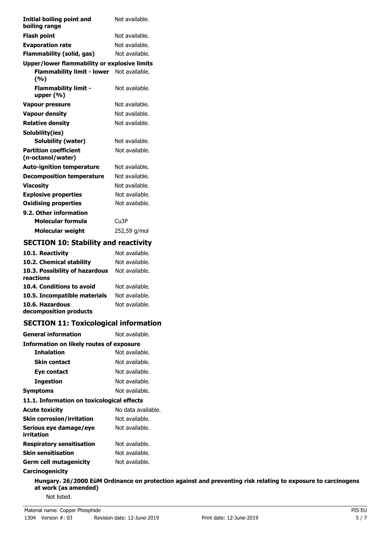| Initial boiling point and<br>boiling range        | Not available. |
|---------------------------------------------------|----------------|
| <b>Flash point</b>                                | Not available. |
| <b>Evaporation rate</b>                           | Not available. |
| Flammability (solid, gas)                         | Not available. |
| Upper/lower flammability or explosive limits      |                |
| <b>Flammability limit - lower</b><br>(%)          | Not available. |
| <b>Flammability limit -</b><br>upper (%)          | Not available. |
| <b>Vapour pressure</b>                            | Not available. |
| <b>Vapour density</b>                             | Not available. |
| <b>Relative density</b>                           | Not available. |
| Solubility(ies)                                   |                |
| <b>Solubility (water)</b>                         | Not available. |
| <b>Partition coefficient</b><br>(n-octanol/water) | Not available. |
| <b>Auto-ignition temperature</b>                  | Not available. |
| <b>Decomposition temperature</b>                  | Not available. |
| <b>Viscosity</b>                                  | Not available. |
| <b>Explosive properties</b>                       | Not available. |
| <b>Oxidising properties</b>                       | Not available. |
| 9.2. Other information                            |                |
| Molecular formula                                 | Cu3P           |
| Molecular weight                                  | 252,59 g/mol   |

## **SECTION 10: Stability and reactivity**

| 10.1. Reactivity                            | Not available. |
|---------------------------------------------|----------------|
| 10.2. Chemical stability                    | Not available. |
| 10.3. Possibility of hazardous<br>reactions | Not available. |
| 10.4. Conditions to avoid                   | Not available. |
| 10.5. Incompatible materials                | Not available. |
| 10.6. Hazardous<br>decomposition products   | Not available. |

# **SECTION 11: Toxicological information**

| <b>General information</b>                 | Not available.     |  |  |  |
|--------------------------------------------|--------------------|--|--|--|
| Information on likely routes of exposure   |                    |  |  |  |
| <b>Inhalation</b>                          | Not available.     |  |  |  |
| Skin contact                               | Not available.     |  |  |  |
| Eye contact                                | Not available.     |  |  |  |
| Ingestion                                  | Not available.     |  |  |  |
| <b>Symptoms</b>                            | Not available.     |  |  |  |
| 11.1. Information on toxicological effects |                    |  |  |  |
| <b>Acute toxicity</b>                      | No data available. |  |  |  |
| <b>Skin corrosion/irritation</b>           | Not available.     |  |  |  |
| Serious eye damage/eye<br>irritation       | Not available.     |  |  |  |
| <b>Respiratory sensitisation</b>           | Not available.     |  |  |  |
| <b>Skin sensitisation</b>                  | Not available.     |  |  |  |
| Germ cell mutagenicity                     | Not available.     |  |  |  |

#### **Carcinogenicity**

**Hungary. 26/2000 EüM Ordinance on protection against and preventing risk relating to exposure to carcinogens at work (as amended)** Not listed.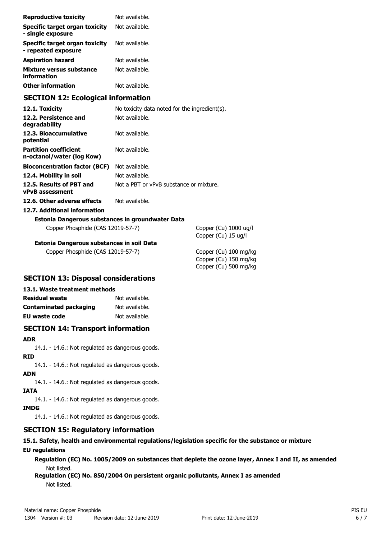| <b>Reproductive toxicity</b>                              | Not available.                                |                            |
|-----------------------------------------------------------|-----------------------------------------------|----------------------------|
| Specific target organ toxicity<br>- single exposure       | Not available.                                |                            |
| Specific target organ toxicity<br>- repeated exposure     | Not available.                                |                            |
| Aspiration hazard                                         | Not available.                                |                            |
| Mixture versus substance<br>information                   | Not available.                                |                            |
| Other information                                         | Not available.                                |                            |
| <b>SECTION 12: Ecological information</b>                 |                                               |                            |
| 12.1. Toxicity                                            | No toxicity data noted for the ingredient(s). |                            |
| 12.2. Persistence and<br>degradability                    | Not available.                                |                            |
| 12.3. Bioaccumulative<br>potential                        | Not available.                                |                            |
| <b>Partition coefficient</b><br>n-octanol/water (log Kow) | Not available.                                |                            |
| <b>Bioconcentration factor (BCF)</b>                      | Not available.                                |                            |
| 12.4. Mobility in soil                                    | Not available.                                |                            |
| 12.5. Results of PBT and<br>vPvB assessment               | Not a PBT or vPvB substance or mixture.       |                            |
| 12.6. Other adverse effects                               | Not available.                                |                            |
| 12.7. Additional information                              |                                               |                            |
| Estonia Dangerous substances in groundwater Data          |                                               |                            |
| Copper Phosphide (CAS 12019-57-7)                         |                                               | Copper (Cu)<br>Copper (Cu) |
| Estonia Dangerous substances in soil Data                 |                                               |                            |
|                                                           |                                               |                            |

Copper Phosphide (CAS 12019-57-7) Copper (Cu) 100 mg/kg

 $(1)$  1000 ug/l (u) 15 ug/l

Copper (Cu) 150 mg/kg Copper (Cu) 500 mg/kg

## **SECTION 13: Disposal considerations**

#### **13.1. Waste treatment methods**

| <b>Residual waste</b>         | Not available. |
|-------------------------------|----------------|
| <b>Contaminated packaging</b> | Not available. |
| EU waste code                 | Not available. |

## **SECTION 14: Transport information**

#### **ADR**

14.1. - 14.6.: Not regulated as dangerous goods.

**RID**

14.1. - 14.6.: Not regulated as dangerous goods.

**ADN**

14.1. - 14.6.: Not regulated as dangerous goods.

**IATA**

14.1. - 14.6.: Not regulated as dangerous goods.

## **IMDG**

14.1. - 14.6.: Not regulated as dangerous goods.

# **SECTION 15: Regulatory information**

## **15.1. Safety, health and environmental regulations/legislation specific for the substance or mixture EU regulations**

**Regulation (EC) No. 1005/2009 on substances that deplete the ozone layer, Annex I and II, as amended** Not listed.

**Regulation (EC) No. 850/2004 On persistent organic pollutants, Annex I as amended** Not listed.